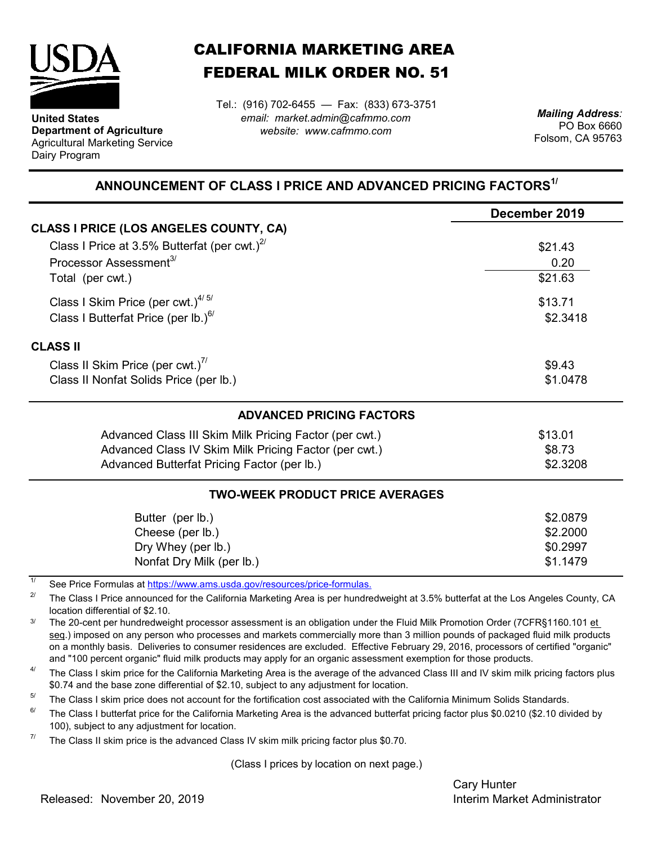

**United States Department of Agriculture** Agricultural Marketing Service Dairy Program

## CALIFORNIA MARKETING AREA FEDERAL MILK ORDER NO. 51

*email: market.admin@cafmmo.com website: www.cafmmo.com* Tel.: (916) 702-6455 — Fax: (833) 673-3751 *Mailing Address:*

PO Box 6660 Folsom, CA 95763

## **ANNOUNCEMENT OF CLASS I PRICE AND ADVANCED PRICING FACTORS1/**

|                                                                          | December 2019 |  |  |
|--------------------------------------------------------------------------|---------------|--|--|
| CLASS I PRICE (LOS ANGELES COUNTY, CA)                                   |               |  |  |
| Class I Price at 3.5% Butterfat (per cwt.) $^{27}$                       | \$21.43       |  |  |
| Processor Assessment <sup>3/</sup>                                       | 0.20          |  |  |
| Total (per cwt.)                                                         | \$21.63       |  |  |
| Class I Skim Price (per cwt.) $4/5/$                                     | \$13.71       |  |  |
| Class I Butterfat Price (per lb.) $^{6/}$                                | \$2.3418      |  |  |
| <b>CLASS II</b>                                                          |               |  |  |
| Class II Skim Price (per cwt.) <sup>7/</sup>                             | \$9.43        |  |  |
| Class II Nonfat Solids Price (per lb.)                                   | \$1.0478      |  |  |
| <b>ADVANCED PRICING FACTORS</b>                                          |               |  |  |
| Advanced Class III Skim Milk Pricing Factor (per cwt.)                   | \$13.01       |  |  |
| Advanced Class IV Skim Milk Pricing Factor (per cwt.)                    | \$8.73        |  |  |
| Advanced Butterfat Pricing Factor (per lb.)                              | \$2.3208      |  |  |
| <b>TWO-WEEK PRODUCT PRICE AVERAGES</b>                                   |               |  |  |
| Butter (per lb.)                                                         | \$2.0879      |  |  |
| Cheese (per lb.)                                                         | \$2.2000      |  |  |
| Dry Whey (per lb.)                                                       | \$0.2997      |  |  |
| Nonfat Dry Milk (per lb.)                                                | \$1.1479      |  |  |
| See Price Formulas at https://www.ams.usda.gov/resources/price-formulas. |               |  |  |

2/ The Class I Price announced for the California Marketing Area is per hundredweight at 3.5% butterfat at the Los Angeles County, CA location differential of \$2.10.

3/ The 20-cent per hundredweight processor assessment is an obligation under the Fluid Milk Promotion Order (7CFR§1160.101 et seq.) imposed on any person who processes and markets commercially more than 3 million pounds of packaged fluid milk products on a monthly basis. Deliveries to consumer residences are excluded. Effective February 29, 2016, processors of certified "organic" and "100 percent organic" fluid milk products may apply for an organic assessment exemption for those products.

4/ The Class I skim price for the California Marketing Area is the average of the advanced Class III and IV skim milk pricing factors plus \$0.74 and the base zone differential of \$2.10, subject to any adjustment for location.

 $5/$ The Class I skim price does not account for the fortification cost associated with the California Minimum Solids Standards.

6/ The Class I butterfat price for the California Marketing Area is the advanced butterfat pricing factor plus \$0.0210 (\$2.10 divided by 100), subject to any adjustment for location.

7/ The Class II skim price is the advanced Class IV skim milk pricing factor plus \$0.70.

(Class I prices by location on next page.)